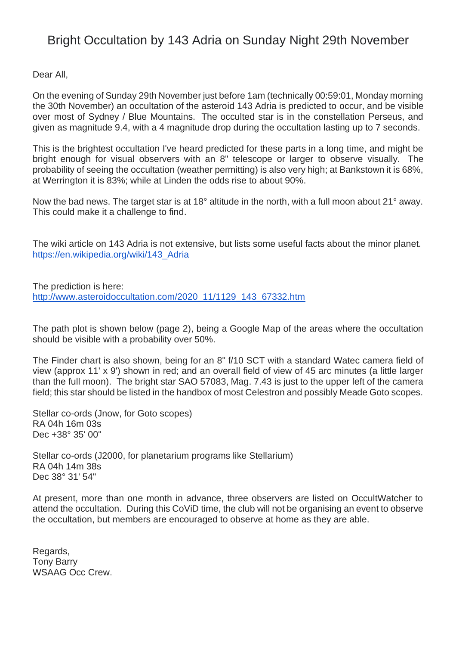## Bright Occultation by 143 Adria on Sunday Night 29th November

Dear All,

On the evening of Sunday 29th November just before 1am (technically 00:59:01, Monday morning the 30th November) an occultation of the asteroid 143 Adria is predicted to occur, and be visible over most of Sydney / Blue Mountains. The occulted star is in the constellation Perseus, and given as magnitude 9.4, with a 4 magnitude drop during the occultation lasting up to 7 seconds.

This is the brightest occultation I've heard predicted for these parts in a long time, and might be bright enough for visual observers with an 8" telescope or larger to observe visually. The probability of seeing the occultation (weather permitting) is also very high; at Bankstown it is 68%, at Werrington it is 83%; while at Linden the odds rise to about 90%.

Now the bad news. The target star is at 18° altitude in the north, with a full moon about 21° away. This could make it a challenge to find.

The wiki article on 143 Adria is not extensive, but lists some useful facts about the minor planet. [https://en.wikipedia.org/wiki/143\\_Adria](https://en.wikipedia.org/wiki/143_Adria)

The prediction is here: [http://www.asteroidoccultation.com/2020\\_11/1129\\_143\\_67332.htm](http://www.asteroidoccultation.com/2020_11/1129_143_67332.htm)

The path plot is shown below (page 2), being a Google Map of the areas where the occultation should be visible with a probability over 50%.

The Finder chart is also shown, being for an 8" f/10 SCT with a standard Watec camera field of view (approx 11' x 9') shown in red; and an overall field of view of 45 arc minutes (a little larger than the full moon). The bright star SAO 57083, Mag. 7.43 is just to the upper left of the camera field; this star should be listed in the handbox of most Celestron and possibly Meade Goto scopes.

Stellar co-ords (Jnow, for Goto scopes) RA 04h 16m 03s Dec +38° 35' 00"

Stellar co-ords (J2000, for planetarium programs like Stellarium) RA 04h 14m 38s Dec 38° 31' 54"

At present, more than one month in advance, three observers are listed on OccultWatcher to attend the occultation. During this CoViD time, the club will not be organising an event to observe the occultation, but members are encouraged to observe at home as they are able.

Regards, Tony Barry WSAAG Occ Crew.